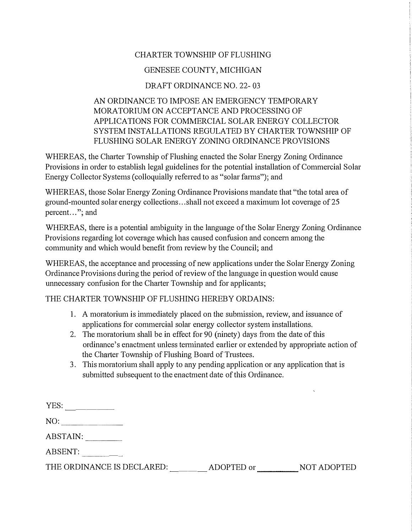## CHARTER TOWNSHIP OF FLUSHING

## GENESEE COUNTY, MICHIGAN

## DRAFT ORDINANCE NO. 22- 03

## AN ORDINANCE TO IMPOSE AN EMERGENCY TEMPORARY MORATORIUM ON ACCEPTANCE AND PROCESSING OF APPLICATIONS FOR COMMERCIAL SOLAR ENERGY COLLECTOR SYSTEM INSTALLATIONS REGULATED BY CHARTER TOWNSHIP OF FLUSHING SOLAR ENERGY ZONING ORDINANCE PROVISIONS

WHEREAS, the Charter Township of Flushing enacted the Solar Energy Zoning Ordinance Provisions in order to establish legal guidelines for the potential installation of Commercial Solar Energy Collector Systems (colloquially referred to as "solar farms"); and

WHEREAS, those Solar Energy Zoning Ordinance Provisions mandate that "the total area of ground-mounted solar energy collections ... shall not exceed a maximum lot coverage of 25 percent..."; and

WHEREAS, there is a potential ambiguity in the language of the Solar Energy Zoning Ordinance Provisions regarding lot coverage which has caused confusion and concern among the community and which would benefit from review by the Council; and

WHEREAS, the acceptance and processing of new applications under the Solar Energy Zoning Ordinance Provisions during the period of review of the language in question would cause unnecessary confusion for the Charter Township and for applicants;

THE CHARTER TOWNSHIP OF FLUSHING HEREBY ORDAINS:

- 1. A moratorium is immediately placed on the submission, review, and issuance of applications for commercial solar energy collector system installations.
- 2. The moratorium shall be in effect for 90 (ninety) days from the date of this ordinance's enactment unless terminated earlier or extended by appropriate action of the Charter Township of Flushing Board of Trustees.
- 3. This moratorium shall apply to any pending application or any application that is submitted subsequent to the enactment date of this Ordinance.

| ADOPTED or | NOT ADOPTED |
|------------|-------------|
|            |             |